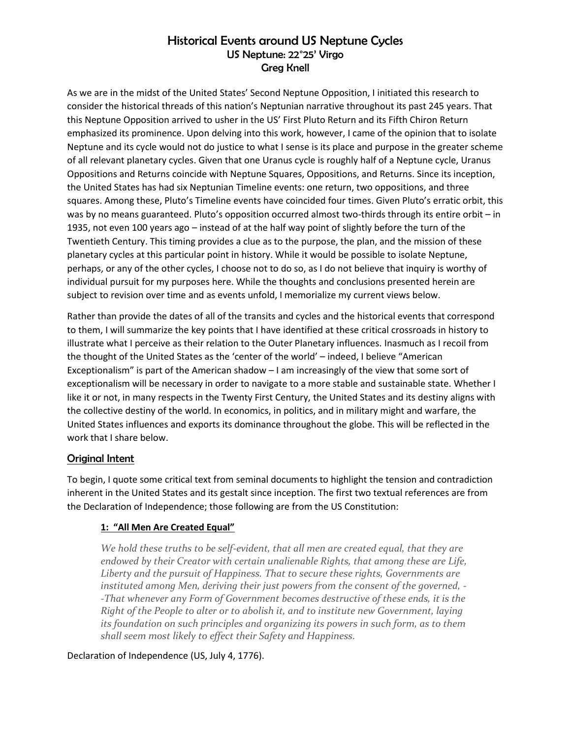# Historical Events around US Neptune Cycles US Neptune: 22°25' Virgo Greg Knell

As we are in the midst of the United States' Second Neptune Opposition, I initiated this research to consider the historical threads of this nation's Neptunian narrative throughout its past 245 years. That this Neptune Opposition arrived to usher in the US' First Pluto Return and its Fifth Chiron Return emphasized its prominence. Upon delving into this work, however, I came of the opinion that to isolate Neptune and its cycle would not do justice to what I sense is its place and purpose in the greater scheme of all relevant planetary cycles. Given that one Uranus cycle is roughly half of a Neptune cycle, Uranus Oppositions and Returns coincide with Neptune Squares, Oppositions, and Returns. Since its inception, the United States has had six Neptunian Timeline events: one return, two oppositions, and three squares. Among these, Pluto's Timeline events have coincided four times. Given Pluto's erratic orbit, this was by no means guaranteed. Pluto's opposition occurred almost two-thirds through its entire orbit – in 1935, not even 100 years ago – instead of at the half way point of slightly before the turn of the Twentieth Century. This timing provides a clue as to the purpose, the plan, and the mission of these planetary cycles at this particular point in history. While it would be possible to isolate Neptune, perhaps, or any of the other cycles, I choose not to do so, as I do not believe that inquiry is worthy of individual pursuit for my purposes here. While the thoughts and conclusions presented herein are subject to revision over time and as events unfold, I memorialize my current views below.

Rather than provide the dates of all of the transits and cycles and the historical events that correspond to them, I will summarize the key points that I have identified at these critical crossroads in history to illustrate what I perceive as their relation to the Outer Planetary influences. Inasmuch as I recoil from the thought of the United States as the 'center of the world' – indeed, I believe "American Exceptionalism" is part of the American shadow – I am increasingly of the view that some sort of exceptionalism will be necessary in order to navigate to a more stable and sustainable state. Whether I like it or not, in many respects in the Twenty First Century, the United States and its destiny aligns with the collective destiny of the world. In economics, in politics, and in military might and warfare, the United States influences and exports its dominance throughout the globe. This will be reflected in the work that I share below.

# Original Intent

To begin, I quote some critical text from seminal documents to highlight the tension and contradiction inherent in the United States and its gestalt since inception. The first two textual references are from the Declaration of Independence; those following are from the US Constitution:

# **1: "All Men Are Created Equal"**

*We hold these truths to be self-evident, that all men are created equal, that they are endowed by their Creator with certain unalienable Rights, that among these are Life, Liberty and the pursuit of Happiness. That to secure these rights, Governments are instituted among Men, deriving their just powers from the consent of the governed, - -That whenever any Form of Government becomes destructive of these ends, it is the Right of the People to alter or to abolish it, and to institute new Government, laying its foundation on such principles and organizing its powers in such form, as to them shall seem most likely to effect their Safety and Happiness.*

## Declaration of Independence (US, July 4, 1776).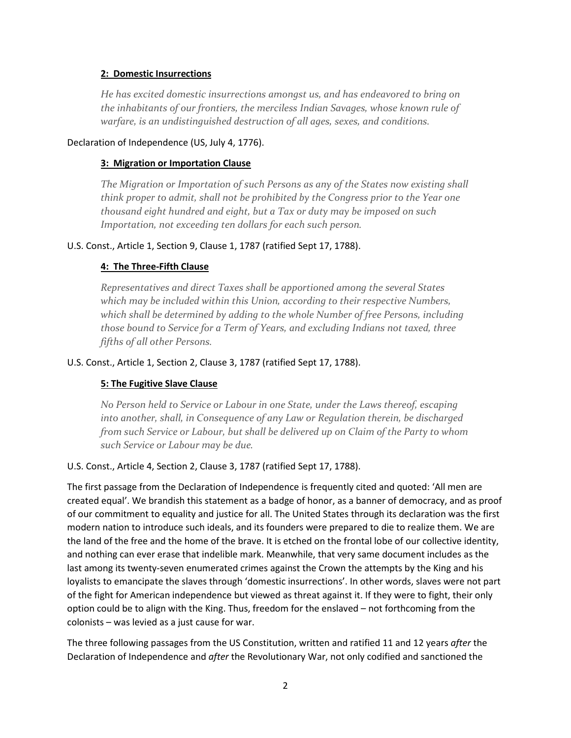#### **2: Domestic Insurrections**

*He has excited domestic insurrections amongst us, and has endeavored to bring on the inhabitants of our frontiers, the merciless Indian Savages, whose known rule of warfare, is an undistinguished destruction of all ages, sexes, and conditions.*

#### Declaration of Independence (US, July 4, 1776).

#### **3: Migration or Importation Clause**

*The Migration or Importation of such Persons as any of the States now existing shall think proper to admit, shall not be prohibited by the Congress prior to the Year one thousand eight hundred and eight, but a Tax or duty may be imposed on such Importation, not exceeding ten dollars for each such person.*

#### U.S. Const., Article 1, Section 9, Clause 1, 1787 (ratified Sept 17, 1788).

## **4: The Three-Fifth Clause**

*Representatives and direct Taxes shall be apportioned among the several States which may be included within this Union, according to their respective Numbers, which shall be determined by adding to the whole Number of free Persons, including those bound to Service for a Term of Years, and excluding Indians not taxed, three fifths of all other Persons.*

#### U.S. Const., Article 1, Section 2, Clause 3, 1787 (ratified Sept 17, 1788).

## **5: The Fugitive Slave Clause**

*No Person held to Service or Labour in one State, under the Laws thereof, escaping into another, shall, in Consequence of any Law or Regulation therein, be discharged from such Service or Labour, but shall be delivered up on Claim of the Party to whom such Service or Labour may be due.*

## U.S. Const., Article 4, Section 2, Clause 3, 1787 (ratified Sept 17, 1788).

The first passage from the Declaration of Independence is frequently cited and quoted: 'All men are created equal'. We brandish this statement as a badge of honor, as a banner of democracy, and as proof of our commitment to equality and justice for all. The United States through its declaration was the first modern nation to introduce such ideals, and its founders were prepared to die to realize them. We are the land of the free and the home of the brave. It is etched on the frontal lobe of our collective identity, and nothing can ever erase that indelible mark. Meanwhile, that very same document includes as the last among its twenty-seven enumerated crimes against the Crown the attempts by the King and his loyalists to emancipate the slaves through 'domestic insurrections'. In other words, slaves were not part of the fight for American independence but viewed as threat against it. If they were to fight, their only option could be to align with the King. Thus, freedom for the enslaved – not forthcoming from the colonists – was levied as a just cause for war.

The three following passages from the US Constitution, written and ratified 11 and 12 years *after* the Declaration of Independence and *after* the Revolutionary War, not only codified and sanctioned the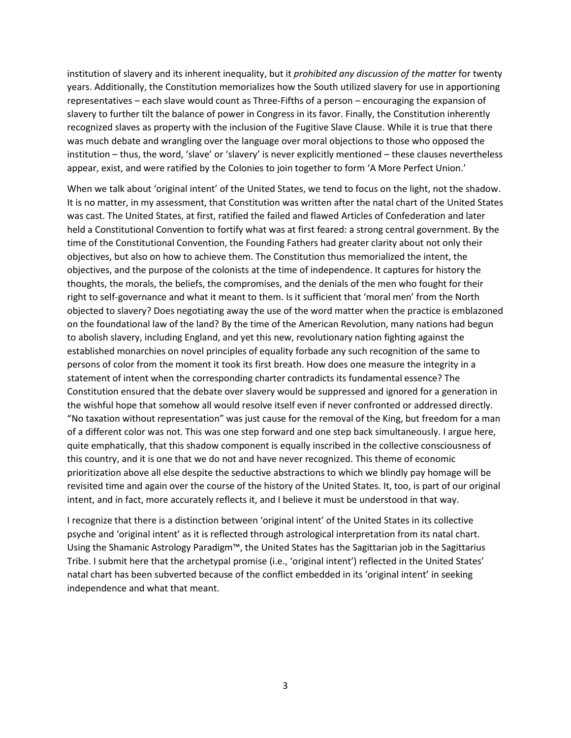institution of slavery and its inherent inequality, but it *prohibited any discussion of the matter* for twenty years. Additionally, the Constitution memorializes how the South utilized slavery for use in apportioning representatives – each slave would count as Three-Fifths of a person – encouraging the expansion of slavery to further tilt the balance of power in Congress in its favor. Finally, the Constitution inherently recognized slaves as property with the inclusion of the Fugitive Slave Clause. While it is true that there was much debate and wrangling over the language over moral objections to those who opposed the institution – thus, the word, 'slave' or 'slavery' is never explicitly mentioned – these clauses nevertheless appear, exist, and were ratified by the Colonies to join together to form 'A More Perfect Union.'

When we talk about 'original intent' of the United States, we tend to focus on the light, not the shadow. It is no matter, in my assessment, that Constitution was written after the natal chart of the United States was cast. The United States, at first, ratified the failed and flawed Articles of Confederation and later held a Constitutional Convention to fortify what was at first feared: a strong central government. By the time of the Constitutional Convention, the Founding Fathers had greater clarity about not only their objectives, but also on how to achieve them. The Constitution thus memorialized the intent, the objectives, and the purpose of the colonists at the time of independence. It captures for history the thoughts, the morals, the beliefs, the compromises, and the denials of the men who fought for their right to self-governance and what it meant to them. Is it sufficient that 'moral men' from the North objected to slavery? Does negotiating away the use of the word matter when the practice is emblazoned on the foundational law of the land? By the time of the American Revolution, many nations had begun to abolish slavery, including England, and yet this new, revolutionary nation fighting against the established monarchies on novel principles of equality forbade any such recognition of the same to persons of color from the moment it took its first breath. How does one measure the integrity in a statement of intent when the corresponding charter contradicts its fundamental essence? The Constitution ensured that the debate over slavery would be suppressed and ignored for a generation in the wishful hope that somehow all would resolve itself even if never confronted or addressed directly. "No taxation without representation" was just cause for the removal of the King, but freedom for a man of a different color was not. This was one step forward and one step back simultaneously. I argue here, quite emphatically, that this shadow component is equally inscribed in the collective consciousness of this country, and it is one that we do not and have never recognized. This theme of economic prioritization above all else despite the seductive abstractions to which we blindly pay homage will be revisited time and again over the course of the history of the United States. It, too, is part of our original intent, and in fact, more accurately reflects it, and I believe it must be understood in that way.

I recognize that there is a distinction between 'original intent' of the United States in its collective psyche and 'original intent' as it is reflected through astrological interpretation from its natal chart. Using the Shamanic Astrology Paradigm™, the United States has the Sagittarian job in the Sagittarius Tribe. I submit here that the archetypal promise (i.e., 'original intent') reflected in the United States' natal chart has been subverted because of the conflict embedded in its 'original intent' in seeking independence and what that meant.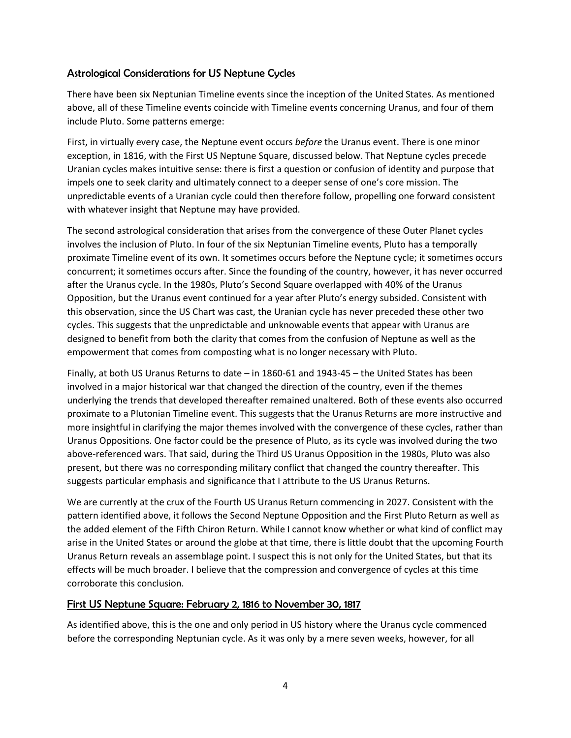## Astrological Considerations for US Neptune Cycles

There have been six Neptunian Timeline events since the inception of the United States. As mentioned above, all of these Timeline events coincide with Timeline events concerning Uranus, and four of them include Pluto. Some patterns emerge:

First, in virtually every case, the Neptune event occurs *before* the Uranus event. There is one minor exception, in 1816, with the First US Neptune Square, discussed below. That Neptune cycles precede Uranian cycles makes intuitive sense: there is first a question or confusion of identity and purpose that impels one to seek clarity and ultimately connect to a deeper sense of one's core mission. The unpredictable events of a Uranian cycle could then therefore follow, propelling one forward consistent with whatever insight that Neptune may have provided.

The second astrological consideration that arises from the convergence of these Outer Planet cycles involves the inclusion of Pluto. In four of the six Neptunian Timeline events, Pluto has a temporally proximate Timeline event of its own. It sometimes occurs before the Neptune cycle; it sometimes occurs concurrent; it sometimes occurs after. Since the founding of the country, however, it has never occurred after the Uranus cycle. In the 1980s, Pluto's Second Square overlapped with 40% of the Uranus Opposition, but the Uranus event continued for a year after Pluto's energy subsided. Consistent with this observation, since the US Chart was cast, the Uranian cycle has never preceded these other two cycles. This suggests that the unpredictable and unknowable events that appear with Uranus are designed to benefit from both the clarity that comes from the confusion of Neptune as well as the empowerment that comes from composting what is no longer necessary with Pluto.

Finally, at both US Uranus Returns to date – in 1860-61 and 1943-45 – the United States has been involved in a major historical war that changed the direction of the country, even if the themes underlying the trends that developed thereafter remained unaltered. Both of these events also occurred proximate to a Plutonian Timeline event. This suggests that the Uranus Returns are more instructive and more insightful in clarifying the major themes involved with the convergence of these cycles, rather than Uranus Oppositions. One factor could be the presence of Pluto, as its cycle was involved during the two above-referenced wars. That said, during the Third US Uranus Opposition in the 1980s, Pluto was also present, but there was no corresponding military conflict that changed the country thereafter. This suggests particular emphasis and significance that I attribute to the US Uranus Returns.

We are currently at the crux of the Fourth US Uranus Return commencing in 2027. Consistent with the pattern identified above, it follows the Second Neptune Opposition and the First Pluto Return as well as the added element of the Fifth Chiron Return. While I cannot know whether or what kind of conflict may arise in the United States or around the globe at that time, there is little doubt that the upcoming Fourth Uranus Return reveals an assemblage point. I suspect this is not only for the United States, but that its effects will be much broader. I believe that the compression and convergence of cycles at this time corroborate this conclusion.

## First US Neptune Square: February 2, 1816 to November 30, 1817

As identified above, this is the one and only period in US history where the Uranus cycle commenced before the corresponding Neptunian cycle. As it was only by a mere seven weeks, however, for all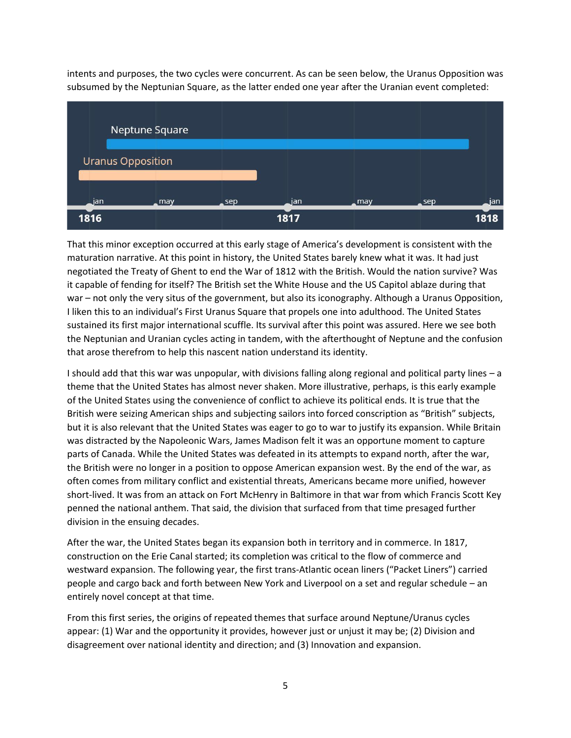intents and purposes, the two cycles were concurrent. As can be seen below, the Uranus Opposition was subsumed by the Neptunian Square, as the latter ended one year after the Uranian event completed:



That this minor exception occurred at this early stage of America's development is consistent with the maturation narrative. At this point in history, the United States barely knew what it was. It had just negotiated the Treaty of Ghent to end the War of 1812 with the British. Would the nation survive? Was it capable of fending for itself? The British set the White House and the US Capitol ablaze during that war – not only the very situs of the government, but also its iconography. Although a Uranus Opposition, I liken this to an individual's First Uranus Square that propels one into adulthood. The United States sustained its first major international scuffle. Its survival after this point was assured. Here we see both the Neptunian and Uranian cycles acting in tandem, with the afterthought of Neptune and the confusion that arose therefrom to help this nascent nation understand its identity.

I should add that this war was unpopular, with divisions falling along regional and political party lines – a theme that the United States has almost never shaken. More illustrative, perhaps, is this early example of the United States using the convenience of conflict to achieve its political ends. It is true that the British were seizing American ships and subjecting sailors into forced conscription as "British" subjects, but it is also relevant that the United States was eager to go to war to justify its expansion. While Britain was distracted by the Napoleonic Wars, James Madison felt it was an opportune moment to capture parts of Canada. While the United States was defeated in its attempts to expand north, after the war, the British were no longer in a position to oppose American expansion west. By the end of the war, as often comes from military conflict and existential threats, Americans became more unified, however short-lived. It was from an attack on Fort McHenry in Baltimore in that war from which Francis Scott Key penned the national anthem. That said, the division that surfaced from that time presaged further division in the ensuing decades.

After the war, the United States began its expansion both in territory and in commerce. In 1817, construction on the Erie Canal started; its completion was critical to the flow of commerce and westward expansion. The following year, the first trans-Atlantic ocean liners ("Packet Liners") carried people and cargo back and forth between New York and Liverpool on a set and regular schedule – an entirely novel concept at that time.

From this first series, the origins of repeated themes that surface around Neptune/Uranus cycles appear: (1) War and the opportunity it provides, however just or unjust it may be; (2) Division and disagreement over national identity and direction; and (3) Innovation and expansion.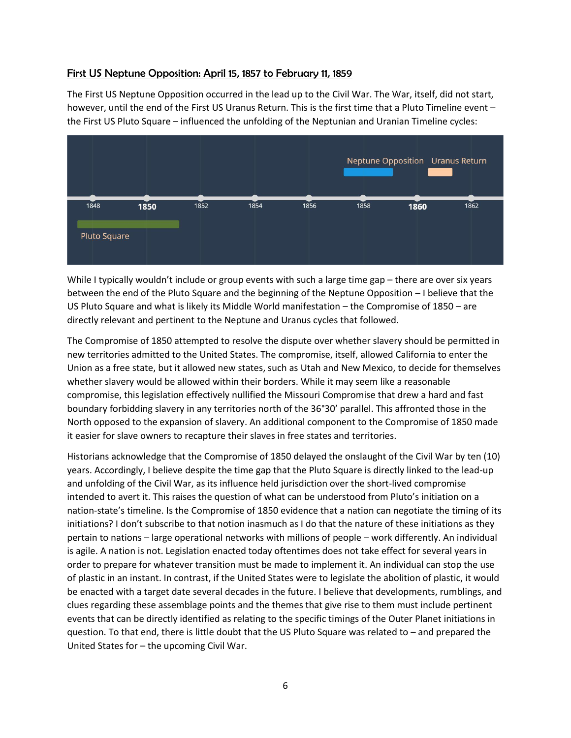## First US Neptune Opposition: April 15, 1857 to February 11, 1859

The First US Neptune Opposition occurred in the lead up to the Civil War. The War, itself, did not start, however, until the end of the First US Uranus Return. This is the first time that a Pluto Timeline event – the First US Pluto Square – influenced the unfolding of the Neptunian and Uranian Timeline cycles:



While I typically wouldn't include or group events with such a large time gap – there are over six years between the end of the Pluto Square and the beginning of the Neptune Opposition – I believe that the US Pluto Square and what is likely its Middle World manifestation – the Compromise of 1850 – are directly relevant and pertinent to the Neptune and Uranus cycles that followed.

The Compromise of 1850 attempted to resolve the dispute over whether slavery should be permitted in new territories admitted to the United States. The compromise, itself, allowed California to enter the Union as a free state, but it allowed new states, such as Utah and New Mexico, to decide for themselves whether slavery would be allowed within their borders. While it may seem like a reasonable compromise, this legislation effectively nullified the Missouri Compromise that drew a hard and fast boundary forbidding slavery in any territories north of the 36°30' parallel. This affronted those in the North opposed to the expansion of slavery. An additional component to the Compromise of 1850 made it easier for slave owners to recapture their slaves in free states and territories.

Historians acknowledge that the Compromise of 1850 delayed the onslaught of the Civil War by ten (10) years. Accordingly, I believe despite the time gap that the Pluto Square is directly linked to the lead-up and unfolding of the Civil War, as its influence held jurisdiction over the short-lived compromise intended to avert it. This raises the question of what can be understood from Pluto's initiation on a nation-state's timeline. Is the Compromise of 1850 evidence that a nation can negotiate the timing of its initiations? I don't subscribe to that notion inasmuch as I do that the nature of these initiations as they pertain to nations – large operational networks with millions of people – work differently. An individual is agile. A nation is not. Legislation enacted today oftentimes does not take effect for several years in order to prepare for whatever transition must be made to implement it. An individual can stop the use of plastic in an instant. In contrast, if the United States were to legislate the abolition of plastic, it would be enacted with a target date several decades in the future. I believe that developments, rumblings, and clues regarding these assemblage points and the themes that give rise to them must include pertinent events that can be directly identified as relating to the specific timings of the Outer Planet initiations in question. To that end, there is little doubt that the US Pluto Square was related to – and prepared the United States for – the upcoming Civil War.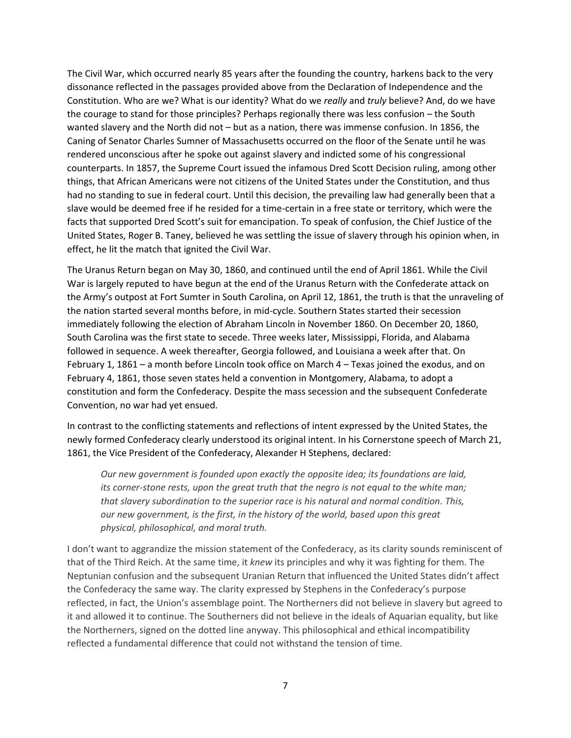The Civil War, which occurred nearly 85 years after the founding the country, harkens back to the very dissonance reflected in the passages provided above from the Declaration of Independence and the Constitution. Who are we? What is our identity? What do we *really* and *truly* believe? And, do we have the courage to stand for those principles? Perhaps regionally there was less confusion – the South wanted slavery and the North did not – but as a nation, there was immense confusion. In 1856, the Caning of Senator Charles Sumner of Massachusetts occurred on the floor of the Senate until he was rendered unconscious after he spoke out against slavery and indicted some of his congressional counterparts. In 1857, the Supreme Court issued the infamous Dred Scott Decision ruling, among other things, that African Americans were not citizens of the United States under the Constitution, and thus had no standing to sue in federal court. Until this decision, the prevailing law had generally been that a slave would be deemed free if he resided for a time-certain in a free state or territory, which were the facts that supported Dred Scott's suit for emancipation. To speak of confusion, the Chief Justice of the United States, Roger B. Taney, believed he was settling the issue of slavery through his opinion when, in effect, he lit the match that ignited the Civil War.

The Uranus Return began on May 30, 1860, and continued until the end of April 1861. While the Civil War is largely reputed to have begun at the end of the Uranus Return with the Confederate attack on the Army's outpost at Fort Sumter in South Carolina, on April 12, 1861, the truth is that the unraveling of the nation started several months before, in mid-cycle. Southern States started their secession immediately following the election of Abraham Lincoln in November 1860. On December 20, 1860, South Carolina was the first state to secede. Three weeks later, Mississippi, Florida, and Alabama followed in sequence. A week thereafter, Georgia followed, and Louisiana a week after that. On February 1, 1861 – a month before Lincoln took office on March 4 – Texas joined the exodus, and on February 4, 1861, those seven states held a convention in Montgomery, Alabama, to adopt a constitution and form the Confederacy. Despite the mass secession and the subsequent Confederate Convention, no war had yet ensued.

In contrast to the conflicting statements and reflections of intent expressed by the United States, the newly formed Confederacy clearly understood its original intent. In his Cornerstone speech of March 21, 1861, the Vice President of the Confederacy, Alexander H Stephens, declared:

*Our new government is founded upon exactly the opposite idea; its foundations are laid, its corner-stone rests, upon the great truth that the negro is not equal to the white man; that slavery subordination to the superior race is his natural and normal condition. This, our new government, is the first, in the history of the world, based upon this great physical, philosophical, and moral truth.*

I don't want to aggrandize the mission statement of the Confederacy, as its clarity sounds reminiscent of that of the Third Reich. At the same time, it *knew* its principles and why it was fighting for them. The Neptunian confusion and the subsequent Uranian Return that influenced the United States didn't affect the Confederacy the same way. The clarity expressed by Stephens in the Confederacy's purpose reflected, in fact, the Union's assemblage point. The Northerners did not believe in slavery but agreed to it and allowed it to continue. The Southerners did not believe in the ideals of Aquarian equality, but like the Northerners, signed on the dotted line anyway. This philosophical and ethical incompatibility reflected a fundamental difference that could not withstand the tension of time.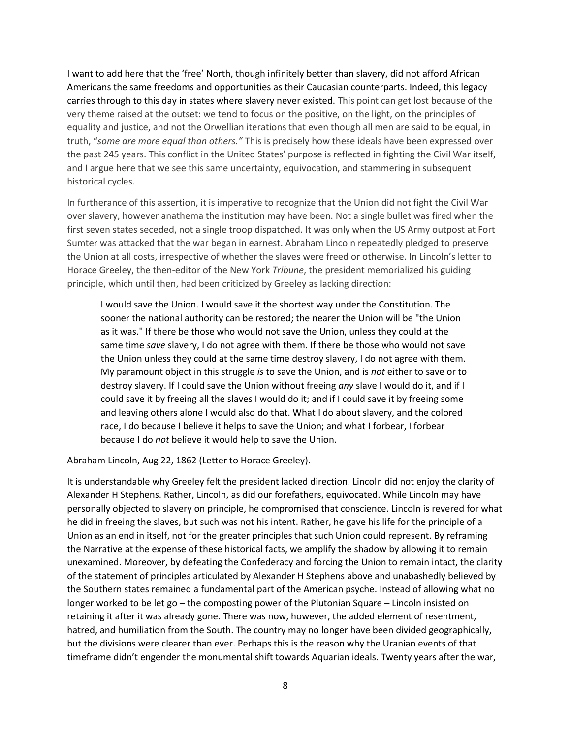I want to add here that the 'free' North, though infinitely better than slavery, did not afford African Americans the same freedoms and opportunities as their Caucasian counterparts. Indeed, this legacy carries through to this day in states where slavery never existed. This point can get lost because of the very theme raised at the outset: we tend to focus on the positive, on the light, on the principles of equality and justice, and not the Orwellian iterations that even though all men are said to be equal, in truth, "*some are more equal than others."* This is precisely how these ideals have been expressed over the past 245 years. This conflict in the United States' purpose is reflected in fighting the Civil War itself, and I argue here that we see this same uncertainty, equivocation, and stammering in subsequent historical cycles.

In furtherance of this assertion, it is imperative to recognize that the Union did not fight the Civil War over slavery, however anathema the institution may have been. Not a single bullet was fired when the first seven states seceded, not a single troop dispatched. It was only when the US Army outpost at Fort Sumter was attacked that the war began in earnest. Abraham Lincoln repeatedly pledged to preserve the Union at all costs, irrespective of whether the slaves were freed or otherwise. In Lincoln's letter to Horace Greeley, the then-editor of the New York *Tribune*, the president memorialized his guiding principle, which until then, had been criticized by Greeley as lacking direction:

I would save the Union. I would save it the shortest way under the Constitution. The sooner the national authority can be restored; the nearer the Union will be "the Union as it was." If there be those who would not save the Union, unless they could at the same time *save* slavery, I do not agree with them. If there be those who would not save the Union unless they could at the same time destroy slavery, I do not agree with them. My paramount object in this struggle *is* to save the Union, and is *not* either to save or to destroy slavery. If I could save the Union without freeing *any* slave I would do it, and if I could save it by freeing all the slaves I would do it; and if I could save it by freeing some and leaving others alone I would also do that. What I do about slavery, and the colored race, I do because I believe it helps to save the Union; and what I forbear, I forbear because I do *not* believe it would help to save the Union.

Abraham Lincoln, Aug 22, 1862 (Letter to Horace Greeley).

It is understandable why Greeley felt the president lacked direction. Lincoln did not enjoy the clarity of Alexander H Stephens. Rather, Lincoln, as did our forefathers, equivocated. While Lincoln may have personally objected to slavery on principle, he compromised that conscience. Lincoln is revered for what he did in freeing the slaves, but such was not his intent. Rather, he gave his life for the principle of a Union as an end in itself, not for the greater principles that such Union could represent. By reframing the Narrative at the expense of these historical facts, we amplify the shadow by allowing it to remain unexamined. Moreover, by defeating the Confederacy and forcing the Union to remain intact, the clarity of the statement of principles articulated by Alexander H Stephens above and unabashedly believed by the Southern states remained a fundamental part of the American psyche. Instead of allowing what no longer worked to be let go – the composting power of the Plutonian Square – Lincoln insisted on retaining it after it was already gone. There was now, however, the added element of resentment, hatred, and humiliation from the South. The country may no longer have been divided geographically, but the divisions were clearer than ever. Perhaps this is the reason why the Uranian events of that timeframe didn't engender the monumental shift towards Aquarian ideals. Twenty years after the war,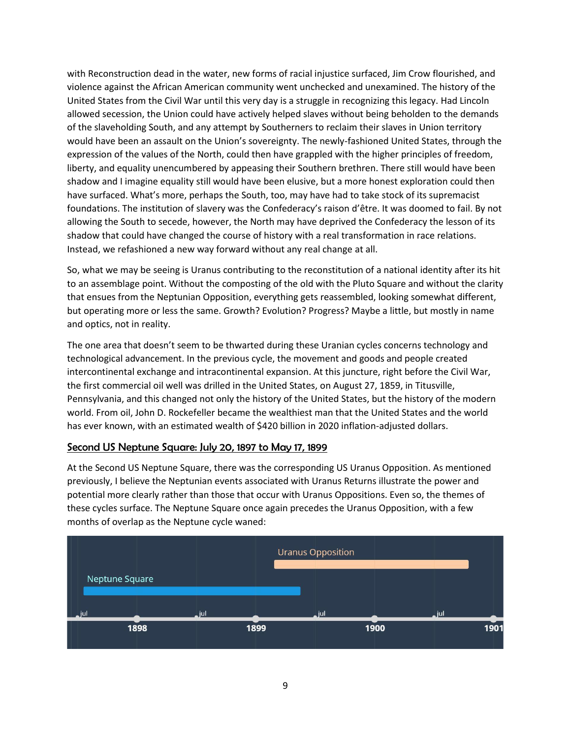with Reconstruction dead in the water, new forms of racial injustice surfaced, Jim Crow flourished, and violence against the African American community went unchecked and unexamined. The history of the United States from the Civil War until this very day is a struggle in recognizing this legacy. Had Lincoln allowed secession, the Union could have actively helped slaves without being beholden to the demands of the slaveholding South, and any attempt by Southerners to reclaim their slaves in Union territory would have been an assault on the Union's sovereignty. The newly-fashioned United States, through the expression of the values of the North, could then have grappled with the higher principles of freedom, liberty, and equality unencumbered by appeasing their Southern brethren. There still would have been shadow and I imagine equality still would have been elusive, but a more honest exploration could then have surfaced. What's more, perhaps the South, too, may have had to take stock of its supremacist foundations. The institution of slavery was the Confederacy's raison d'être. It was doomed to fail. By not allowing the South to secede, however, the North may have deprived the Confederacy the lesson of its shadow that could have changed the course of history with a real transformation in race relations. Instead, we refashioned a new way forward without any real change at all.

So, what we may be seeing is Uranus contributing to the reconstitution of a national identity after its hit to an assemblage point. Without the composting of the old with the Pluto Square and without the clarity that ensues from the Neptunian Opposition, everything gets reassembled, looking somewhat different, but operating more or less the same. Growth? Evolution? Progress? Maybe a little, but mostly in name and optics, not in reality.

The one area that doesn't seem to be thwarted during these Uranian cycles concerns technology and technological advancement. In the previous cycle, the movement and goods and people created intercontinental exchange and intracontinental expansion. At this juncture, right before the Civil War, the first commercial oil well was drilled in the United States, on August 27, 1859, in Titusville, Pennsylvania, and this changed not only the history of the United States, but the history of the modern world. From oil, John D. Rockefeller became the wealthiest man that the United States and the world has ever known, with an estimated wealth of \$420 billion in 2020 inflation-adjusted dollars.

## Second US Neptune Square: July 20, 1897 to May 17, 1899

At the Second US Neptune Square, there was the corresponding US Uranus Opposition. As mentioned previously, I believe the Neptunian events associated with Uranus Returns illustrate the power and potential more clearly rather than those that occur with Uranus Oppositions. Even so, the themes of these cycles surface. The Neptune Square once again precedes the Uranus Opposition, with a few months of overlap as the Neptune cycle waned:

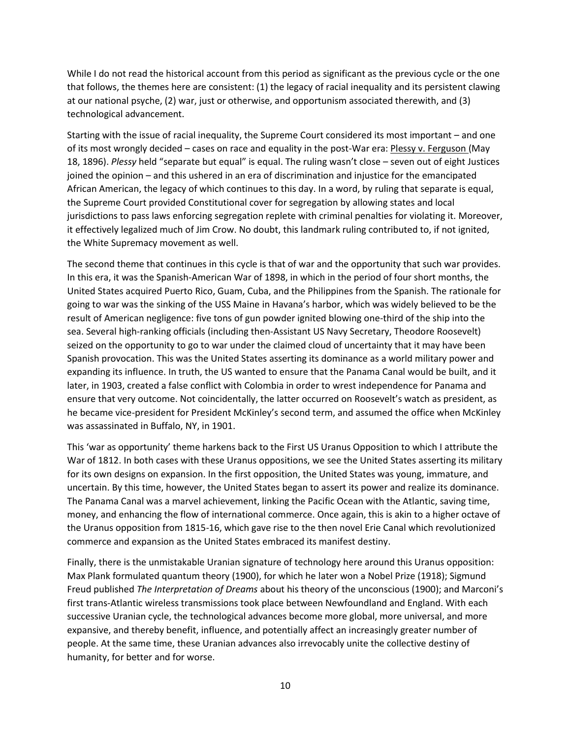While I do not read the historical account from this period as significant as the previous cycle or the one that follows, the themes here are consistent: (1) the legacy of racial inequality and its persistent clawing at our national psyche, (2) war, just or otherwise, and opportunism associated therewith, and (3) technological advancement.

Starting with the issue of racial inequality, the Supreme Court considered its most important – and one of its most wrongly decided – cases on race and equality in the post-War era: Plessy v. Ferguson (May 18, 1896). *Plessy* held "separate but equal" is equal. The ruling wasn't close – seven out of eight Justices joined the opinion – and this ushered in an era of discrimination and injustice for the emancipated African American, the legacy of which continues to this day. In a word, by ruling that separate is equal, the Supreme Court provided Constitutional cover for segregation by allowing states and local jurisdictions to pass laws enforcing segregation replete with criminal penalties for violating it. Moreover, it effectively legalized much of Jim Crow. No doubt, this landmark ruling contributed to, if not ignited, the White Supremacy movement as well.

The second theme that continues in this cycle is that of war and the opportunity that such war provides. In this era, it was the Spanish-American War of 1898, in which in the period of four short months, the United States acquired Puerto Rico, Guam, Cuba, and the Philippines from the Spanish. The rationale for going to war was the sinking of the USS Maine in Havana's harbor, which was widely believed to be the result of American negligence: five tons of gun powder ignited blowing one-third of the ship into the sea. Several high-ranking officials (including then-Assistant US Navy Secretary, Theodore Roosevelt) seized on the opportunity to go to war under the claimed cloud of uncertainty that it may have been Spanish provocation. This was the United States asserting its dominance as a world military power and expanding its influence. In truth, the US wanted to ensure that the Panama Canal would be built, and it later, in 1903, created a false conflict with Colombia in order to wrest independence for Panama and ensure that very outcome. Not coincidentally, the latter occurred on Roosevelt's watch as president, as he became vice-president for President McKinley's second term, and assumed the office when McKinley was assassinated in Buffalo, NY, in 1901.

This 'war as opportunity' theme harkens back to the First US Uranus Opposition to which I attribute the War of 1812. In both cases with these Uranus oppositions, we see the United States asserting its military for its own designs on expansion. In the first opposition, the United States was young, immature, and uncertain. By this time, however, the United States began to assert its power and realize its dominance. The Panama Canal was a marvel achievement, linking the Pacific Ocean with the Atlantic, saving time, money, and enhancing the flow of international commerce. Once again, this is akin to a higher octave of the Uranus opposition from 1815-16, which gave rise to the then novel Erie Canal which revolutionized commerce and expansion as the United States embraced its manifest destiny.

Finally, there is the unmistakable Uranian signature of technology here around this Uranus opposition: Max Plank formulated quantum theory (1900), for which he later won a Nobel Prize (1918); Sigmund Freud published *The Interpretation of Dreams* about his theory of the unconscious (1900); and Marconi's first trans-Atlantic wireless transmissions took place between Newfoundland and England. With each successive Uranian cycle, the technological advances become more global, more universal, and more expansive, and thereby benefit, influence, and potentially affect an increasingly greater number of people. At the same time, these Uranian advances also irrevocably unite the collective destiny of humanity, for better and for worse.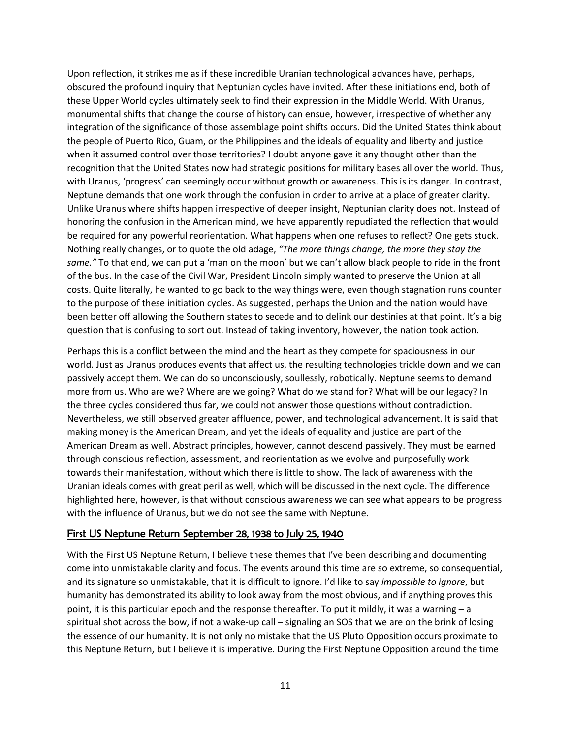Upon reflection, it strikes me as if these incredible Uranian technological advances have, perhaps, obscured the profound inquiry that Neptunian cycles have invited. After these initiations end, both of these Upper World cycles ultimately seek to find their expression in the Middle World. With Uranus, monumental shifts that change the course of history can ensue, however, irrespective of whether any integration of the significance of those assemblage point shifts occurs. Did the United States think about the people of Puerto Rico, Guam, or the Philippines and the ideals of equality and liberty and justice when it assumed control over those territories? I doubt anyone gave it any thought other than the recognition that the United States now had strategic positions for military bases all over the world. Thus, with Uranus, 'progress' can seemingly occur without growth or awareness. This is its danger. In contrast, Neptune demands that one work through the confusion in order to arrive at a place of greater clarity. Unlike Uranus where shifts happen irrespective of deeper insight, Neptunian clarity does not. Instead of honoring the confusion in the American mind, we have apparently repudiated the reflection that would be required for any powerful reorientation. What happens when one refuses to reflect? One gets stuck. Nothing really changes, or to quote the old adage, *"The more things change, the more they stay the same."* To that end, we can put a 'man on the moon' but we can't allow black people to ride in the front of the bus. In the case of the Civil War, President Lincoln simply wanted to preserve the Union at all costs. Quite literally, he wanted to go back to the way things were, even though stagnation runs counter to the purpose of these initiation cycles. As suggested, perhaps the Union and the nation would have been better off allowing the Southern states to secede and to delink our destinies at that point. It's a big question that is confusing to sort out. Instead of taking inventory, however, the nation took action.

Perhaps this is a conflict between the mind and the heart as they compete for spaciousness in our world. Just as Uranus produces events that affect us, the resulting technologies trickle down and we can passively accept them. We can do so unconsciously, soullessly, robotically. Neptune seems to demand more from us. Who are we? Where are we going? What do we stand for? What will be our legacy? In the three cycles considered thus far, we could not answer those questions without contradiction. Nevertheless, we still observed greater affluence, power, and technological advancement. It is said that making money is the American Dream, and yet the ideals of equality and justice are part of the American Dream as well. Abstract principles, however, cannot descend passively. They must be earned through conscious reflection, assessment, and reorientation as we evolve and purposefully work towards their manifestation, without which there is little to show. The lack of awareness with the Uranian ideals comes with great peril as well, which will be discussed in the next cycle. The difference highlighted here, however, is that without conscious awareness we can see what appears to be progress with the influence of Uranus, but we do not see the same with Neptune.

#### First US Neptune Return September 28, 1938 to July 25, 1940

With the First US Neptune Return, I believe these themes that I've been describing and documenting come into unmistakable clarity and focus. The events around this time are so extreme, so consequential, and its signature so unmistakable, that it is difficult to ignore. I'd like to say *impossible to ignore*, but humanity has demonstrated its ability to look away from the most obvious, and if anything proves this point, it is this particular epoch and the response thereafter. To put it mildly, it was a warning – a spiritual shot across the bow, if not a wake-up call – signaling an SOS that we are on the brink of losing the essence of our humanity. It is not only no mistake that the US Pluto Opposition occurs proximate to this Neptune Return, but I believe it is imperative. During the First Neptune Opposition around the time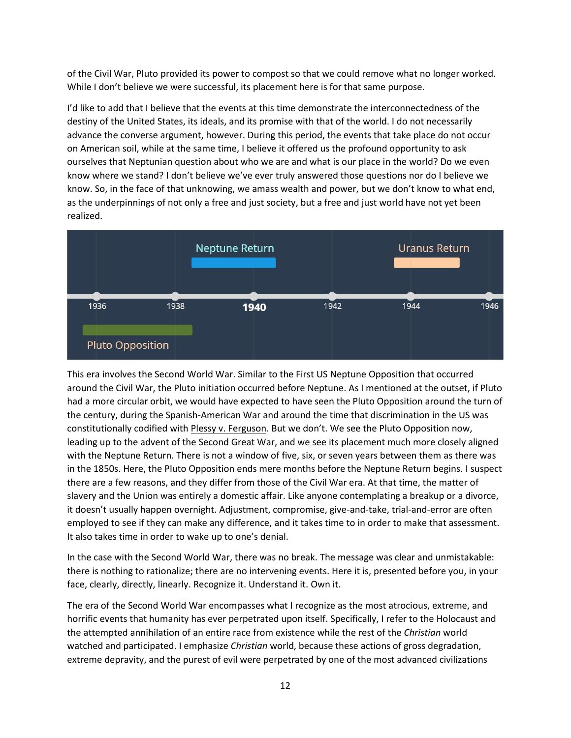of the Civil War, Pluto provided its power to compost so that we could remove what no longer worked. While I don't believe we were successful, its placement here is for that same purpose.

I'd like to add that I believe that the events at this time demonstrate the interconnectedness of the destiny of the United States, its ideals, and its promise with that of the world. I do not necessarily advance the converse argument, however. During this period, the events that take place do not occur on American soil, while at the same time, I believe it offered us the profound opportunity to ask ourselves that Neptunian question about who we are and what is our place in the world? Do we even know where we stand? I don't believe we've ever truly answered those questions nor do I believe we know. So, in the face of that unknowing, we amass wealth and power, but we don't know to what end, as the underpinnings of not only a free and just society, but a free and just world have not yet been realized.



This era involves the Second World War. Similar to the First US Neptune Opposition that occurred around the Civil War, the Pluto initiation occurred before Neptune. As I mentioned at the outset, if Pluto had a more circular orbit, we would have expected to have seen the Pluto Opposition around the turn of the century, during the Spanish-American War and around the time that discrimination in the US was constitutionally codified with Plessy v. Ferguson. But we don't. We see the Pluto Opposition now, leading up to the advent of the Second Great War, and we see its placement much more closely aligned with the Neptune Return. There is not a window of five, six, or seven years between them as there was in the 1850s. Here, the Pluto Opposition ends mere months before the Neptune Return begins. I suspect there are a few reasons, and they differ from those of the Civil War era. At that time, the matter of slavery and the Union was entirely a domestic affair. Like anyone contemplating a breakup or a divorce, it doesn't usually happen overnight. Adjustment, compromise, give-and-take, trial-and-error are often employed to see if they can make any difference, and it takes time to in order to make that assessment. It also takes time in order to wake up to one's denial.

In the case with the Second World War, there was no break. The message was clear and unmistakable: there is nothing to rationalize; there are no intervening events. Here it is, presented before you, in your face, clearly, directly, linearly. Recognize it. Understand it. Own it.

The era of the Second World War encompasses what I recognize as the most atrocious, extreme, and horrific events that humanity has ever perpetrated upon itself. Specifically, I refer to the Holocaust and the attempted annihilation of an entire race from existence while the rest of the *Christian* world watched and participated. I emphasize *Christian* world, because these actions of gross degradation, extreme depravity, and the purest of evil were perpetrated by one of the most advanced civilizations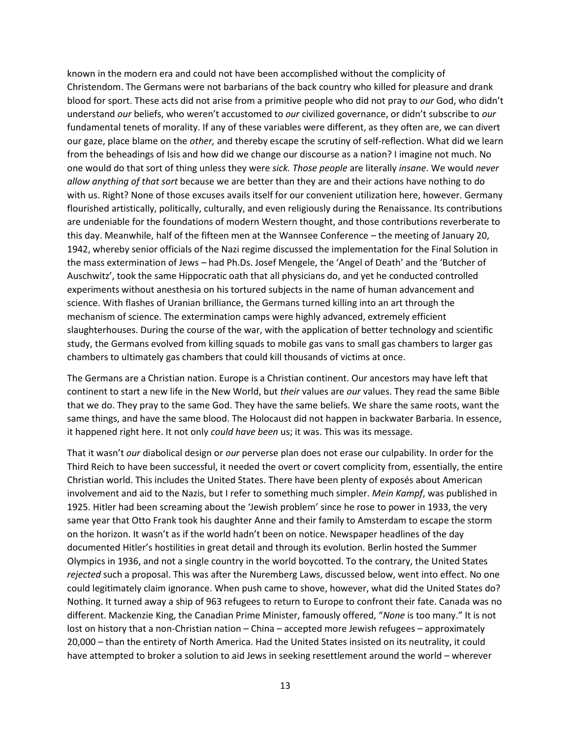known in the modern era and could not have been accomplished without the complicity of Christendom. The Germans were not barbarians of the back country who killed for pleasure and drank blood for sport. These acts did not arise from a primitive people who did not pray to *our* God, who didn't understand *our* beliefs, who weren't accustomed to *our* civilized governance, or didn't subscribe to *our* fundamental tenets of morality. If any of these variables were different, as they often are, we can divert our gaze, place blame on the *other,* and thereby escape the scrutiny of self-reflection. What did we learn from the beheadings of Isis and how did we change our discourse as a nation? I imagine not much. No one would do that sort of thing unless they were *sick. Those people* are literally *insane*. We would *never allow anything of that sort* because we are better than they are and their actions have nothing to do with us. Right? None of those excuses avails itself for our convenient utilization here, however. Germany flourished artistically, politically, culturally, and even religiously during the Renaissance. Its contributions are undeniable for the foundations of modern Western thought, and those contributions reverberate to this day. Meanwhile, half of the fifteen men at the Wannsee Conference – the meeting of January 20, 1942, whereby senior officials of the Nazi regime discussed the implementation for the Final Solution in the mass extermination of Jews – had Ph.Ds. Josef Mengele, the 'Angel of Death' and the 'Butcher of Auschwitz', took the same Hippocratic oath that all physicians do, and yet he conducted controlled experiments without anesthesia on his tortured subjects in the name of human advancement and science. With flashes of Uranian brilliance, the Germans turned killing into an art through the mechanism of science. The extermination camps were highly advanced, extremely efficient slaughterhouses. During the course of the war, with the application of better technology and scientific study, the Germans evolved from killing squads to mobile gas vans to small gas chambers to larger gas chambers to ultimately gas chambers that could kill thousands of victims at once.

The Germans are a Christian nation. Europe is a Christian continent. Our ancestors may have left that continent to start a new life in the New World, but *their* values are *our* values. They read the same Bible that we do. They pray to the same God. They have the same beliefs. We share the same roots, want the same things, and have the same blood. The Holocaust did not happen in backwater Barbaria. In essence, it happened right here. It not only *could have been* us; it was. This was its message.

That it wasn't *our* diabolical design or *our* perverse plan does not erase our culpability. In order for the Third Reich to have been successful, it needed the overt or covert complicity from, essentially, the entire Christian world. This includes the United States. There have been plenty of exposés about American involvement and aid to the Nazis, but I refer to something much simpler. *Mein Kampf*, was published in 1925. Hitler had been screaming about the 'Jewish problem' since he rose to power in 1933, the very same year that Otto Frank took his daughter Anne and their family to Amsterdam to escape the storm on the horizon. It wasn't as if the world hadn't been on notice. Newspaper headlines of the day documented Hitler's hostilities in great detail and through its evolution. Berlin hosted the Summer Olympics in 1936, and not a single country in the world boycotted. To the contrary, the United States *rejected* such a proposal. This was after the Nuremberg Laws, discussed below, went into effect. No one could legitimately claim ignorance. When push came to shove, however, what did the United States do? Nothing. It turned away a ship of 963 refugees to return to Europe to confront their fate. Canada was no different. Mackenzie King, the Canadian Prime Minister, famously offered, "*None* is too many." It is not lost on history that a non-Christian nation – China – accepted more Jewish refugees – approximately 20,000 – than the entirety of North America. Had the United States insisted on its neutrality, it could have attempted to broker a solution to aid Jews in seeking resettlement around the world – wherever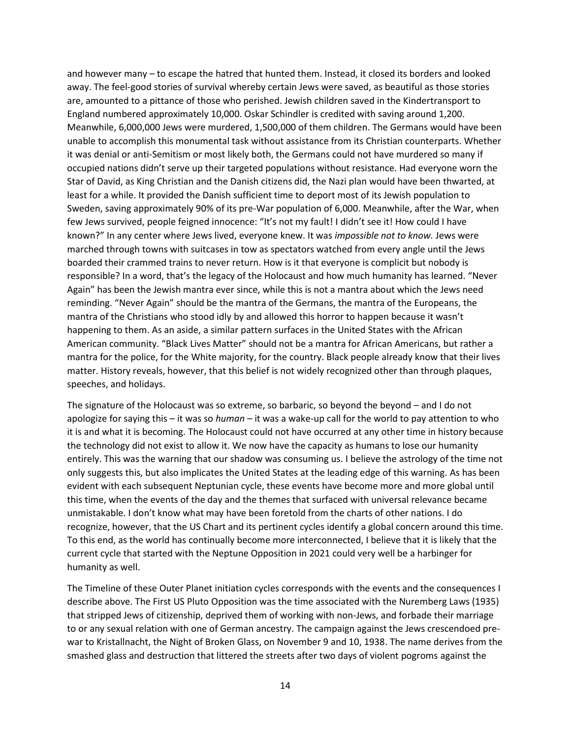and however many – to escape the hatred that hunted them. Instead, it closed its borders and looked away. The feel-good stories of survival whereby certain Jews were saved, as beautiful as those stories are, amounted to a pittance of those who perished. Jewish children saved in the Kindertransport to England numbered approximately 10,000. Oskar Schindler is credited with saving around 1,200. Meanwhile, 6,000,000 Jews were murdered, 1,500,000 of them children. The Germans would have been unable to accomplish this monumental task without assistance from its Christian counterparts. Whether it was denial or anti-Semitism or most likely both, the Germans could not have murdered so many if occupied nations didn't serve up their targeted populations without resistance. Had everyone worn the Star of David, as King Christian and the Danish citizens did, the Nazi plan would have been thwarted, at least for a while. It provided the Danish sufficient time to deport most of its Jewish population to Sweden, saving approximately 90% of its pre-War population of 6,000. Meanwhile, after the War, when few Jews survived, people feigned innocence: "It's not my fault! I didn't see it! How could I have known?" In any center where Jews lived, everyone knew. It was *impossible not to know.* Jews were marched through towns with suitcases in tow as spectators watched from every angle until the Jews boarded their crammed trains to never return. How is it that everyone is complicit but nobody is responsible? In a word, that's the legacy of the Holocaust and how much humanity has learned. "Never Again" has been the Jewish mantra ever since, while this is not a mantra about which the Jews need reminding. "Never Again" should be the mantra of the Germans, the mantra of the Europeans, the mantra of the Christians who stood idly by and allowed this horror to happen because it wasn't happening to them. As an aside, a similar pattern surfaces in the United States with the African American community. "Black Lives Matter" should not be a mantra for African Americans, but rather a mantra for the police, for the White majority, for the country. Black people already know that their lives matter. History reveals, however, that this belief is not widely recognized other than through plaques, speeches, and holidays.

The signature of the Holocaust was so extreme, so barbaric, so beyond the beyond – and I do not apologize for saying this – it was so *human –* it was a wake-up call for the world to pay attention to who it is and what it is becoming. The Holocaust could not have occurred at any other time in history because the technology did not exist to allow it. We now have the capacity as humans to lose our humanity entirely. This was the warning that our shadow was consuming us. I believe the astrology of the time not only suggests this, but also implicates the United States at the leading edge of this warning. As has been evident with each subsequent Neptunian cycle, these events have become more and more global until this time, when the events of the day and the themes that surfaced with universal relevance became unmistakable. I don't know what may have been foretold from the charts of other nations. I do recognize, however, that the US Chart and its pertinent cycles identify a global concern around this time. To this end, as the world has continually become more interconnected, I believe that it is likely that the current cycle that started with the Neptune Opposition in 2021 could very well be a harbinger for humanity as well.

The Timeline of these Outer Planet initiation cycles corresponds with the events and the consequences I describe above. The First US Pluto Opposition was the time associated with the Nuremberg Laws (1935) that stripped Jews of citizenship, deprived them of working with non-Jews, and forbade their marriage to or any sexual relation with one of German ancestry. The campaign against the Jews crescendoed prewar to Kristallnacht, the Night of Broken Glass, on November 9 and 10, 1938. The name derives from the smashed glass and destruction that littered the streets after two days of violent pogroms against the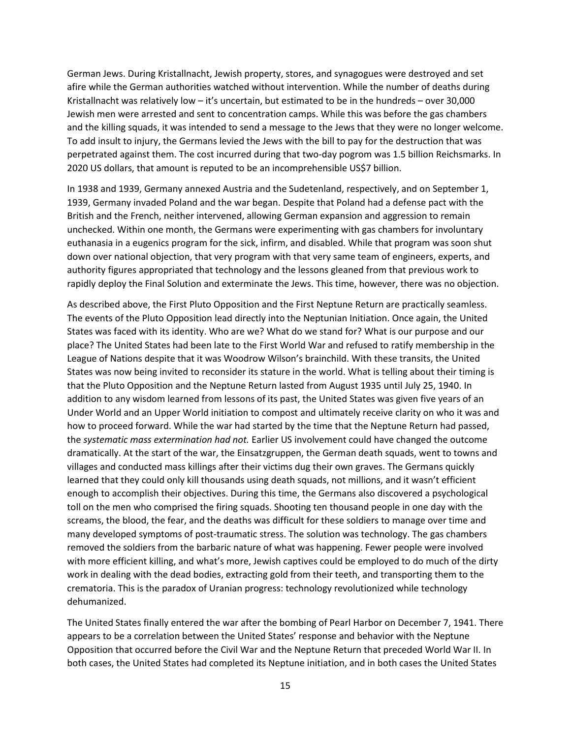German Jews. During Kristallnacht, Jewish property, stores, and synagogues were destroyed and set afire while the German authorities watched without intervention. While the number of deaths during Kristallnacht was relatively low – it's uncertain, but estimated to be in the hundreds – over 30,000 Jewish men were arrested and sent to concentration camps. While this was before the gas chambers and the killing squads, it was intended to send a message to the Jews that they were no longer welcome. To add insult to injury, the Germans levied the Jews with the bill to pay for the destruction that was perpetrated against them. The cost incurred during that two-day pogrom was 1.5 billion Reichsmarks. In 2020 US dollars, that amount is reputed to be an incomprehensible US\$7 billion.

In 1938 and 1939, Germany annexed Austria and the Sudetenland, respectively, and on September 1, 1939, Germany invaded Poland and the war began. Despite that Poland had a defense pact with the British and the French, neither intervened, allowing German expansion and aggression to remain unchecked. Within one month, the Germans were experimenting with gas chambers for involuntary euthanasia in a eugenics program for the sick, infirm, and disabled. While that program was soon shut down over national objection, that very program with that very same team of engineers, experts, and authority figures appropriated that technology and the lessons gleaned from that previous work to rapidly deploy the Final Solution and exterminate the Jews. This time, however, there was no objection.

As described above, the First Pluto Opposition and the First Neptune Return are practically seamless. The events of the Pluto Opposition lead directly into the Neptunian Initiation. Once again, the United States was faced with its identity. Who are we? What do we stand for? What is our purpose and our place? The United States had been late to the First World War and refused to ratify membership in the League of Nations despite that it was Woodrow Wilson's brainchild. With these transits, the United States was now being invited to reconsider its stature in the world. What is telling about their timing is that the Pluto Opposition and the Neptune Return lasted from August 1935 until July 25, 1940. In addition to any wisdom learned from lessons of its past, the United States was given five years of an Under World and an Upper World initiation to compost and ultimately receive clarity on who it was and how to proceed forward. While the war had started by the time that the Neptune Return had passed, the *systematic mass extermination had not.* Earlier US involvement could have changed the outcome dramatically. At the start of the war, the Einsatzgruppen, the German death squads, went to towns and villages and conducted mass killings after their victims dug their own graves. The Germans quickly learned that they could only kill thousands using death squads, not millions, and it wasn't efficient enough to accomplish their objectives. During this time, the Germans also discovered a psychological toll on the men who comprised the firing squads. Shooting ten thousand people in one day with the screams, the blood, the fear, and the deaths was difficult for these soldiers to manage over time and many developed symptoms of post-traumatic stress. The solution was technology. The gas chambers removed the soldiers from the barbaric nature of what was happening. Fewer people were involved with more efficient killing, and what's more, Jewish captives could be employed to do much of the dirty work in dealing with the dead bodies, extracting gold from their teeth, and transporting them to the crematoria. This is the paradox of Uranian progress: technology revolutionized while technology dehumanized.

The United States finally entered the war after the bombing of Pearl Harbor on December 7, 1941. There appears to be a correlation between the United States' response and behavior with the Neptune Opposition that occurred before the Civil War and the Neptune Return that preceded World War II. In both cases, the United States had completed its Neptune initiation, and in both cases the United States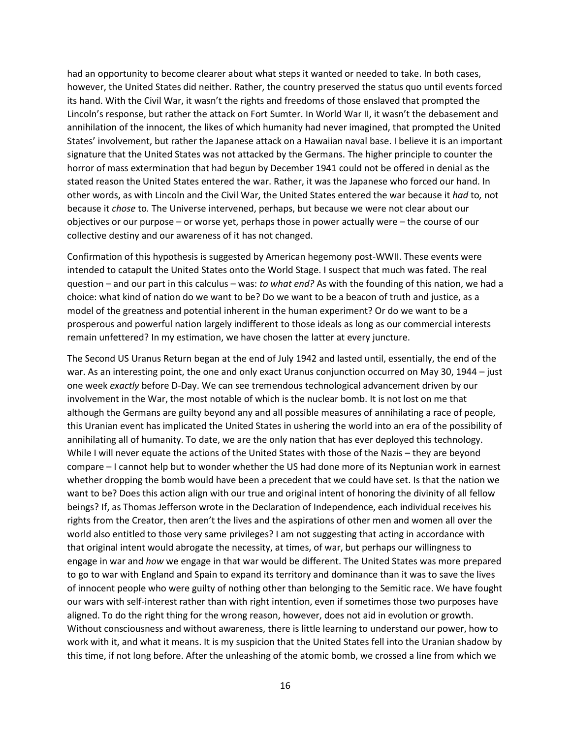had an opportunity to become clearer about what steps it wanted or needed to take. In both cases, however, the United States did neither. Rather, the country preserved the status quo until events forced its hand. With the Civil War, it wasn't the rights and freedoms of those enslaved that prompted the Lincoln's response, but rather the attack on Fort Sumter. In World War II, it wasn't the debasement and annihilation of the innocent, the likes of which humanity had never imagined, that prompted the United States' involvement, but rather the Japanese attack on a Hawaiian naval base. I believe it is an important signature that the United States was not attacked by the Germans. The higher principle to counter the horror of mass extermination that had begun by December 1941 could not be offered in denial as the stated reason the United States entered the war. Rather, it was the Japanese who forced our hand. In other words, as with Lincoln and the Civil War, the United States entered the war because it *had* to*,* not because it *chose* to*.* The Universe intervened, perhaps, but because we were not clear about our objectives or our purpose – or worse yet, perhaps those in power actually were – the course of our collective destiny and our awareness of it has not changed.

Confirmation of this hypothesis is suggested by American hegemony post-WWII. These events were intended to catapult the United States onto the World Stage. I suspect that much was fated. The real question – and our part in this calculus – was: *to what end?* As with the founding of this nation, we had a choice: what kind of nation do we want to be? Do we want to be a beacon of truth and justice, as a model of the greatness and potential inherent in the human experiment? Or do we want to be a prosperous and powerful nation largely indifferent to those ideals as long as our commercial interests remain unfettered? In my estimation, we have chosen the latter at every juncture.

The Second US Uranus Return began at the end of July 1942 and lasted until, essentially, the end of the war. As an interesting point, the one and only exact Uranus conjunction occurred on May 30, 1944 – just one week *exactly* before D-Day. We can see tremendous technological advancement driven by our involvement in the War, the most notable of which is the nuclear bomb. It is not lost on me that although the Germans are guilty beyond any and all possible measures of annihilating a race of people, this Uranian event has implicated the United States in ushering the world into an era of the possibility of annihilating all of humanity. To date, we are the only nation that has ever deployed this technology. While I will never equate the actions of the United States with those of the Nazis – they are beyond compare – I cannot help but to wonder whether the US had done more of its Neptunian work in earnest whether dropping the bomb would have been a precedent that we could have set. Is that the nation we want to be? Does this action align with our true and original intent of honoring the divinity of all fellow beings? If, as Thomas Jefferson wrote in the Declaration of Independence, each individual receives his rights from the Creator, then aren't the lives and the aspirations of other men and women all over the world also entitled to those very same privileges? I am not suggesting that acting in accordance with that original intent would abrogate the necessity, at times, of war, but perhaps our willingness to engage in war and *how* we engage in that war would be different. The United States was more prepared to go to war with England and Spain to expand its territory and dominance than it was to save the lives of innocent people who were guilty of nothing other than belonging to the Semitic race. We have fought our wars with self-interest rather than with right intention, even if sometimes those two purposes have aligned. To do the right thing for the wrong reason, however, does not aid in evolution or growth. Without consciousness and without awareness, there is little learning to understand our power, how to work with it, and what it means. It is my suspicion that the United States fell into the Uranian shadow by this time, if not long before. After the unleashing of the atomic bomb, we crossed a line from which we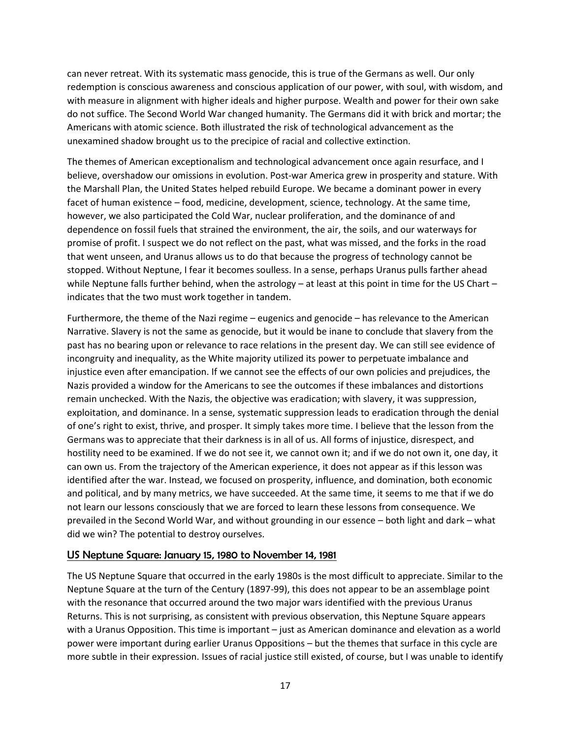can never retreat. With its systematic mass genocide, this is true of the Germans as well. Our only redemption is conscious awareness and conscious application of our power, with soul, with wisdom, and with measure in alignment with higher ideals and higher purpose. Wealth and power for their own sake do not suffice. The Second World War changed humanity. The Germans did it with brick and mortar; the Americans with atomic science. Both illustrated the risk of technological advancement as the unexamined shadow brought us to the precipice of racial and collective extinction.

The themes of American exceptionalism and technological advancement once again resurface, and I believe, overshadow our omissions in evolution. Post-war America grew in prosperity and stature. With the Marshall Plan, the United States helped rebuild Europe. We became a dominant power in every facet of human existence – food, medicine, development, science, technology. At the same time, however, we also participated the Cold War, nuclear proliferation, and the dominance of and dependence on fossil fuels that strained the environment, the air, the soils, and our waterways for promise of profit. I suspect we do not reflect on the past, what was missed, and the forks in the road that went unseen, and Uranus allows us to do that because the progress of technology cannot be stopped. Without Neptune, I fear it becomes soulless. In a sense, perhaps Uranus pulls farther ahead while Neptune falls further behind, when the astrology – at least at this point in time for the US Chart – indicates that the two must work together in tandem.

Furthermore, the theme of the Nazi regime – eugenics and genocide – has relevance to the American Narrative. Slavery is not the same as genocide, but it would be inane to conclude that slavery from the past has no bearing upon or relevance to race relations in the present day. We can still see evidence of incongruity and inequality, as the White majority utilized its power to perpetuate imbalance and injustice even after emancipation. If we cannot see the effects of our own policies and prejudices, the Nazis provided a window for the Americans to see the outcomes if these imbalances and distortions remain unchecked. With the Nazis, the objective was eradication; with slavery, it was suppression, exploitation, and dominance. In a sense, systematic suppression leads to eradication through the denial of one's right to exist, thrive, and prosper. It simply takes more time. I believe that the lesson from the Germans was to appreciate that their darkness is in all of us. All forms of injustice, disrespect, and hostility need to be examined. If we do not see it, we cannot own it; and if we do not own it, one day, it can own us. From the trajectory of the American experience, it does not appear as if this lesson was identified after the war. Instead, we focused on prosperity, influence, and domination, both economic and political, and by many metrics, we have succeeded. At the same time, it seems to me that if we do not learn our lessons consciously that we are forced to learn these lessons from consequence. We prevailed in the Second World War, and without grounding in our essence – both light and dark – what did we win? The potential to destroy ourselves.

#### US Neptune Square: January 15, 1980 to November 14, 1981

The US Neptune Square that occurred in the early 1980s is the most difficult to appreciate. Similar to the Neptune Square at the turn of the Century (1897-99), this does not appear to be an assemblage point with the resonance that occurred around the two major wars identified with the previous Uranus Returns. This is not surprising, as consistent with previous observation, this Neptune Square appears with a Uranus Opposition. This time is important – just as American dominance and elevation as a world power were important during earlier Uranus Oppositions – but the themes that surface in this cycle are more subtle in their expression. Issues of racial justice still existed, of course, but I was unable to identify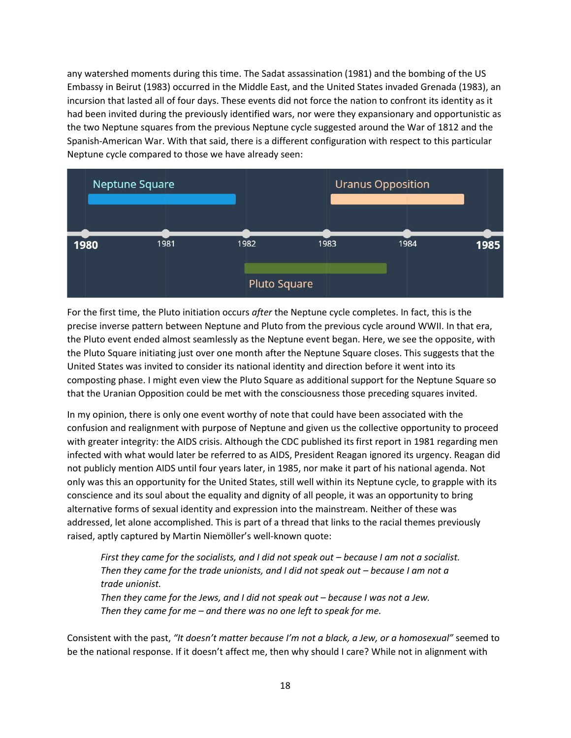any watershed moments during this time. The Sadat assassination (1981) and the bombing of the US Embassy in Beirut (1983) occurred in the Middle East, and the United States invaded Grenada (1983), an incursion that lasted all of four days. These events did not force the nation to confront its identity as it had been invited during the previously identified wars, nor were they expansionary and opportunistic as the two Neptune squares from the previous Neptune cycle suggested around the War of 1812 and the Spanish-American War. With that said, there is a different configuration with respect to this particular Neptune cycle compared to those we have already seen:

|      | <b>Neptune Square</b> |              |      | <b>Uranus Opposition</b> |      |
|------|-----------------------|--------------|------|--------------------------|------|
| 1980 | 1981                  | 1982         | 1983 | 1984                     | 1985 |
|      |                       | Pluto Square |      |                          |      |

For the first time, the Pluto initiation occurs *after* the Neptune cycle completes. In fact, this is the precise inverse pattern between Neptune and Pluto from the previous cycle around WWII. In that era, the Pluto event ended almost seamlessly as the Neptune event began. Here, we see the opposite, with the Pluto Square initiating just over one month after the Neptune Square closes. This suggests that the United States was invited to consider its national identity and direction before it went into its composting phase. I might even view the Pluto Square as additional support for the Neptune Square so that the Uranian Opposition could be met with the consciousness those preceding squares invited.

In my opinion, there is only one event worthy of note that could have been associated with the confusion and realignment with purpose of Neptune and given us the collective opportunity to proceed with greater integrity: the AIDS crisis. Although the CDC published its first report in 1981 regarding men infected with what would later be referred to as AIDS, President Reagan ignored its urgency. Reagan did not publicly mention AIDS until four years later, in 1985, nor make it part of his national agenda. Not only was this an opportunity for the United States, still well within its Neptune cycle, to grapple with its conscience and its soul about the equality and dignity of all people, it was an opportunity to bring alternative forms of sexual identity and expression into the mainstream. Neither of these was addressed, let alone accomplished. This is part of a thread that links to the racial themes previously raised, aptly captured by Martin Niemöller's well-known quote:

*First they came for the socialists, and I did not speak out – because I am not a socialist. Then they came for the trade unionists, and I did not speak out – because I am not a trade unionist. Then they came for the Jews, and I did not speak out – because I was not a Jew. Then they came for me – and there was no one left to speak for me.*

Consistent with the past, *"It doesn't matter because I'm not a black, a Jew, or a homosexual"* seemed to be the national response. If it doesn't affect me, then why should I care? While not in alignment with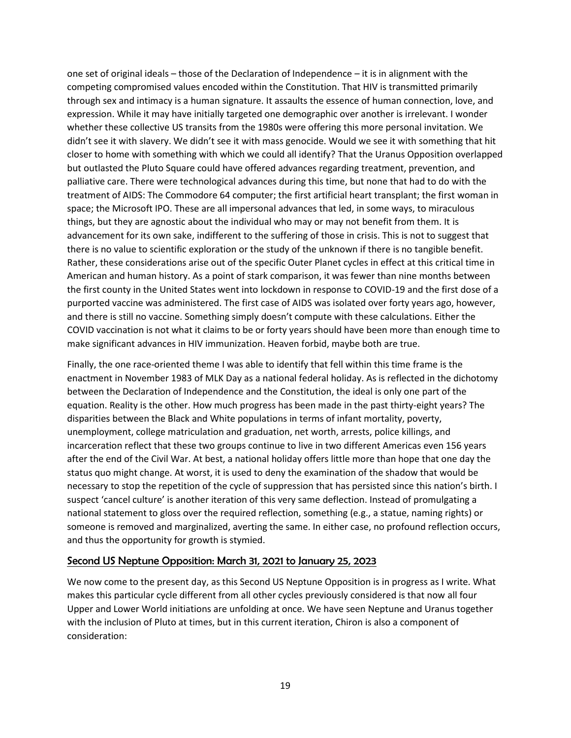one set of original ideals – those of the Declaration of Independence – it is in alignment with the competing compromised values encoded within the Constitution. That HIV is transmitted primarily through sex and intimacy is a human signature. It assaults the essence of human connection, love, and expression. While it may have initially targeted one demographic over another is irrelevant. I wonder whether these collective US transits from the 1980s were offering this more personal invitation. We didn't see it with slavery. We didn't see it with mass genocide. Would we see it with something that hit closer to home with something with which we could all identify? That the Uranus Opposition overlapped but outlasted the Pluto Square could have offered advances regarding treatment, prevention, and palliative care. There were technological advances during this time, but none that had to do with the treatment of AIDS: The Commodore 64 computer; the first artificial heart transplant; the first woman in space; the Microsoft IPO. These are all impersonal advances that led, in some ways, to miraculous things, but they are agnostic about the individual who may or may not benefit from them. It is advancement for its own sake, indifferent to the suffering of those in crisis. This is not to suggest that there is no value to scientific exploration or the study of the unknown if there is no tangible benefit. Rather, these considerations arise out of the specific Outer Planet cycles in effect at this critical time in American and human history. As a point of stark comparison, it was fewer than nine months between the first county in the United States went into lockdown in response to COVID-19 and the first dose of a purported vaccine was administered. The first case of AIDS was isolated over forty years ago, however, and there is still no vaccine. Something simply doesn't compute with these calculations. Either the COVID vaccination is not what it claims to be or forty years should have been more than enough time to make significant advances in HIV immunization. Heaven forbid, maybe both are true.

Finally, the one race-oriented theme I was able to identify that fell within this time frame is the enactment in November 1983 of MLK Day as a national federal holiday. As is reflected in the dichotomy between the Declaration of Independence and the Constitution, the ideal is only one part of the equation. Reality is the other. How much progress has been made in the past thirty-eight years? The disparities between the Black and White populations in terms of infant mortality, poverty, unemployment, college matriculation and graduation, net worth, arrests, police killings, and incarceration reflect that these two groups continue to live in two different Americas even 156 years after the end of the Civil War. At best, a national holiday offers little more than hope that one day the status quo might change. At worst, it is used to deny the examination of the shadow that would be necessary to stop the repetition of the cycle of suppression that has persisted since this nation's birth. I suspect 'cancel culture' is another iteration of this very same deflection. Instead of promulgating a national statement to gloss over the required reflection, something (e.g., a statue, naming rights) or someone is removed and marginalized, averting the same. In either case, no profound reflection occurs, and thus the opportunity for growth is stymied.

## Second US Neptune Opposition: March 31, 2021 to January 25, 2023

We now come to the present day, as this Second US Neptune Opposition is in progress as I write. What makes this particular cycle different from all other cycles previously considered is that now all four Upper and Lower World initiations are unfolding at once. We have seen Neptune and Uranus together with the inclusion of Pluto at times, but in this current iteration, Chiron is also a component of consideration: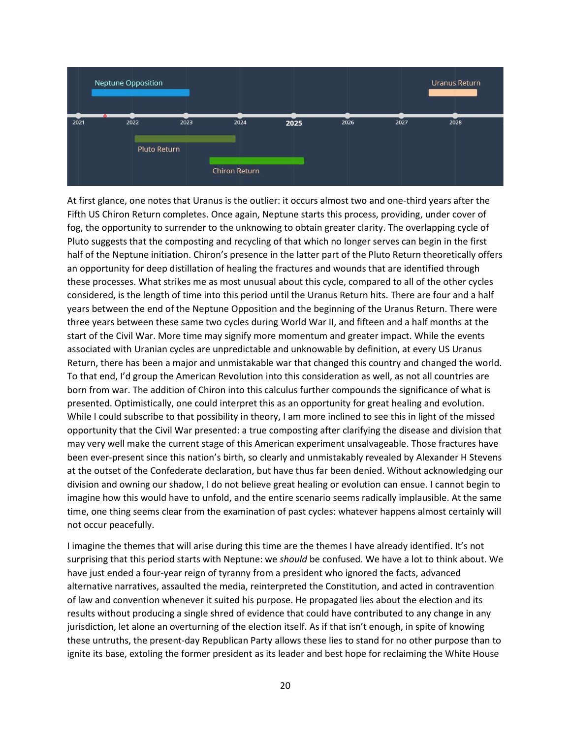

At first glance, one notes that Uranus is the outlier: it occurs almost two and one-third years after the Fifth US Chiron Return completes. Once again, Neptune starts this process, providing, under cover of fog, the opportunity to surrender to the unknowing to obtain greater clarity. The overlapping cycle of Pluto suggests that the composting and recycling of that which no longer serves can begin in the first half of the Neptune initiation. Chiron's presence in the latter part of the Pluto Return theoretically offers an opportunity for deep distillation of healing the fractures and wounds that are identified through these processes. What strikes me as most unusual about this cycle, compared to all of the other cycles considered, is the length of time into this period until the Uranus Return hits. There are four and a half years between the end of the Neptune Opposition and the beginning of the Uranus Return. There were three years between these same two cycles during World War II, and fifteen and a half months at the start of the Civil War. More time may signify more momentum and greater impact. While the events associated with Uranian cycles are unpredictable and unknowable by definition, at every US Uranus Return, there has been a major and unmistakable war that changed this country and changed the world. To that end, I'd group the American Revolution into this consideration as well, as not all countries are born from war. The addition of Chiron into this calculus further compounds the significance of what is presented. Optimistically, one could interpret this as an opportunity for great healing and evolution. While I could subscribe to that possibility in theory, I am more inclined to see this in light of the missed opportunity that the Civil War presented: a true composting after clarifying the disease and division that may very well make the current stage of this American experiment unsalvageable. Those fractures have been ever-present since this nation's birth, so clearly and unmistakably revealed by Alexander H Stevens at the outset of the Confederate declaration, but have thus far been denied. Without acknowledging our division and owning our shadow, I do not believe great healing or evolution can ensue. I cannot begin to imagine how this would have to unfold, and the entire scenario seems radically implausible. At the same time, one thing seems clear from the examination of past cycles: whatever happens almost certainly will not occur peacefully.

I imagine the themes that will arise during this time are the themes I have already identified. It's not surprising that this period starts with Neptune: we *should* be confused. We have a lot to think about. We have just ended a four-year reign of tyranny from a president who ignored the facts, advanced alternative narratives, assaulted the media, reinterpreted the Constitution, and acted in contravention of law and convention whenever it suited his purpose. He propagated lies about the election and its results without producing a single shred of evidence that could have contributed to any change in any jurisdiction, let alone an overturning of the election itself. As if that isn't enough, in spite of knowing these untruths, the present-day Republican Party allows these lies to stand for no other purpose than to ignite its base, extoling the former president as its leader and best hope for reclaiming the White House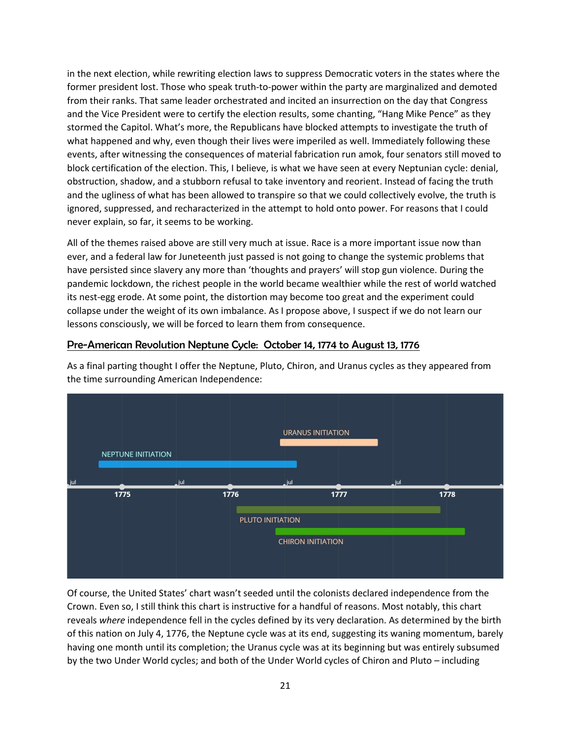in the next election, while rewriting election laws to suppress Democratic voters in the states where the former president lost. Those who speak truth-to-power within the party are marginalized and demoted from their ranks. That same leader orchestrated and incited an insurrection on the day that Congress and the Vice President were to certify the election results, some chanting, "Hang Mike Pence" as they stormed the Capitol. What's more, the Republicans have blocked attempts to investigate the truth of what happened and why, even though their lives were imperiled as well. Immediately following these events, after witnessing the consequences of material fabrication run amok, four senators still moved to block certification of the election. This, I believe, is what we have seen at every Neptunian cycle: denial, obstruction, shadow, and a stubborn refusal to take inventory and reorient. Instead of facing the truth and the ugliness of what has been allowed to transpire so that we could collectively evolve, the truth is ignored, suppressed, and recharacterized in the attempt to hold onto power. For reasons that I could never explain, so far, it seems to be working.

All of the themes raised above are still very much at issue. Race is a more important issue now than ever, and a federal law for Juneteenth just passed is not going to change the systemic problems that have persisted since slavery any more than 'thoughts and prayers' will stop gun violence. During the pandemic lockdown, the richest people in the world became wealthier while the rest of world watched its nest-egg erode. At some point, the distortion may become too great and the experiment could collapse under the weight of its own imbalance. As I propose above, I suspect if we do not learn our lessons consciously, we will be forced to learn them from consequence.

## Pre-American Revolution Neptune Cycle: October 14, 1774 to August 13, 1776



As a final parting thought I offer the Neptune, Pluto, Chiron, and Uranus cycles as they appeared from the time surrounding American Independence:

Of course, the United States' chart wasn't seeded until the colonists declared independence from the Crown. Even so, I still think this chart is instructive for a handful of reasons. Most notably, this chart reveals *where* independence fell in the cycles defined by its very declaration. As determined by the birth of this nation on July 4, 1776, the Neptune cycle was at its end, suggesting its waning momentum, barely having one month until its completion; the Uranus cycle was at its beginning but was entirely subsumed by the two Under World cycles; and both of the Under World cycles of Chiron and Pluto – including